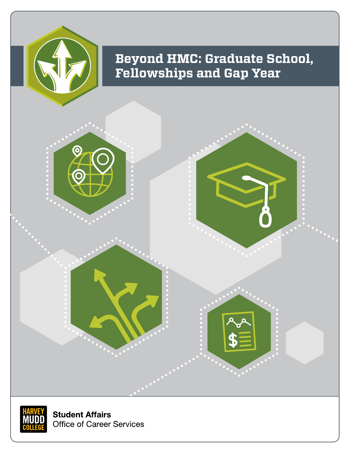

# **Beyond HMC: Graduate School, Fellowships and Gap Year**





**Student Affairs Office of Career Services**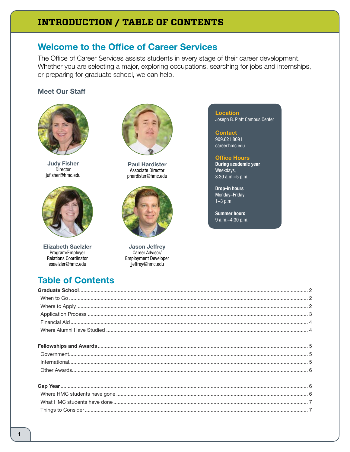## **INTRODUCTION / TABLE OF CONTENTS**

## **Welcome to the Office of Career Services**

The Office of Career Services assists students in every stage of their career development. Whether you are selecting a major, exploring occupations, searching for jobs and internships, or preparing for graduate school, we can help.

### **Meet Our Staff**



**Judy Fisher** Director jufisher@hmc.edu



**Elizabeth Saelzler** Program/Employer Relations Coordinator esaelzler@hmc.edu

**Table of Contents** 



**Paul Hardister Associate Director** phardister@hmc.edu



**Jason Jeffrey** Career Advisor/ **Employment Developer** jjeffrey@hmc.edu

**Location** Joseph B. Platt Campus Center

**Contact** 909.621.8091 career.hmc.edu

#### **Office Hours**

**During academic year** Weekdays, 8:30 a.m. - 5 p.m.

**Drop-in hours** Monday-Friday  $1 - 3 p.m.$ 

**Summer hours** 9 a.m.-4:30 p.m.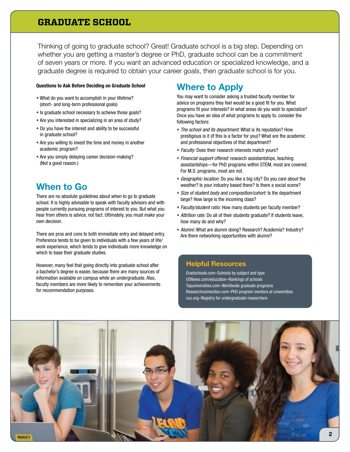### **GRADUATE SCHOOL**

Thinking of going to graduate school? Great! Graduate school is a big step. Depending on whether you are getting a master's degree or PhD, graduate school can be a commitment of seven years or more. If you want an advanced education or specialized knowledge, and a graduate degree is required to obtain your career goals, then graduate school is for you.

#### Questions to Ask Before Deciding on Graduate School

- What do you want to accomplish in your lifetime? (short- and long-term professional goals)
- Is graduate school necessary to acheive those goals?
- Are you interested in specializing in an area of study?
- Do you have the interest and ability to be successful in graduate school?
- Are you willing to invest the time and money in another academic program?
- Are you simply delaying career decision-making? (Not a good reason.)

### When to Go

There are no absolute guidelines about when to go to graduate school. It is highly advisable to speak with faculty advisors and with people currently pursuing programs of interest to you. But what you hear from others is advice, not fact. Ultimately, you must make your own decision.

There are pros and cons to both immediate entry and delayed entry. Preference tends to be given to individuals with a few years of life/ work experience, which tends to give individuals more knowledge on which to base their graduate studies.

However, many feel that going directly into graduate school after a bachelor's degree is easier, because there are many sources of information available on campus while an undergraduate. Also, faculty members are more likely to remember your achievements for recommendation purposes.

### Where to Apply

You may want to consider asking a trusted faculty member for advice on programs they feel would be a good fit for you. What programs fit your interests? In what areas do you wish to specialize? Once you have an idea of what programs to apply to, consider the following factors:

- *The school and its department:* What is its reputation? How prestigious is it (if this is a factor for you)? What are the academic and professional objectives of that department?
- *Faculty:* Does their research interests match yours?
- *Financial support offered:* research assistantships, teaching assistantships—for PhD programs within STEM, most are covered. For M.S. programs, most are not.
- *Geographic location:* Do you like a big city? Do you care about the weather? Is your industry based there? Is there a social scene?
- *Size of student body and composition/cohort:* Is the department large? How large is the incoming class?
- *Faculty/student ratio:* How many students per faculty member?
- *Attrition rate:* Do all of their students graduate? If students leave, how many do and why?
- *Alumni:* What are alumni doing? Research? Academia? Industry? Are there networking opportunities with alumni?

#### Helpful Resources

Gradschools.com–Schools by subject and type USNews.com/education–Rankings of schools Topuniversities.com–Worldwide graduate programs Researchconnection.com–PhD program mentors at universities cuc.org–Registry for undergraduate researchers

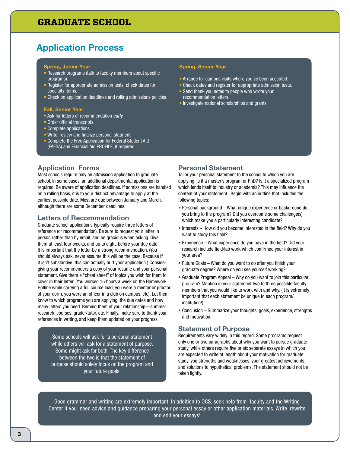### **GRADUATE SCHOOL**

## Application Process

#### Spring, Junior Year

- Research programs (talk to faculty members about specific programs).
- Register for appropriate admission tests; check dates for specialty items.
- Check on application deadlines and rolling admissions policies.

#### Fall, Senior Year

- Ask for letters of recommendation *early.*
- Order official transcripts.
- Complete applications.
- Write, review and finalize personal statment
- Complete the Free Application for Federal Student Aid (FAFSA) and Financial Aid PROFILE, if required.

#### Spring, Senior Year

- Arrange for campus visits where you've been accepted.
- Check dates and register for appropriate admission tests.
- Send thank you notes to people who wrote your recommendation letters.
- Investigate national scholarships and grants.

#### Application Forms

Most schools require only an admission application to graduate school. In some cases, an additional departmental application is required. Be aware of application deadlines. If admissions are handled on a rolling basis, it is to your distinct advantage to apply at the earliest possible date. Most are due between January and March, although there are some December deadlines.

#### Letters of Recommendation

Graduate school applications typically require three letters of reference (or recommendation). Be sure to request your letter in person rather than by email, and be gracious when asking. Give them at least four weeks, and up to eight, before your due date. It is important that the letter be a strong recommendation. (You should always ask, never assume this will be the case. Because if it isn't substantive, this can actually hurt your application.) Consider giving your recommenders a copy of your resume and your personal statement. Give them a "cheat sheet" of topics you wish for them to cover in their letter. (You worked 15 hours a week on the Homework Hotline while carrying a full course load, you were a mentor or proctor of your dorm, you were an officer in a club on campus, etc). Let them know to which programs you are applying, the due dates and how many letters you need. Remind them of your relationship—summer research, courses, grader/tutor, etc. Finally, make sure to thank your references in writing, and keep them updated on your progress.

Some schools will ask for a personal statement while others will ask for a statement of purpose. Some might ask for both. The key difference between the two is that the statement of purpose should solely focus on the program and your future goals.

#### Personal Statement

Tailor your personal statement to the school to which you are applying. Is it a master's program or PhD? Is it a specialized program which lends itself to industry or academia? This may influence the content of your statement. Begin with an outline that includes the following topics:

- Personal background What unique experience or background do you bring to the program? Did you overcome some challenge(s) which make you a particularly interesting candidate?
- Interests How did you become interested in the field? Why do you want to study this field?
- Experience What experience do you have in the field? Did your research include field/lab work which confirmed your interest in your area?
- Future Goals What do you want to do after you finish your graduate degree? Where do you see yourself working?
- Graduate Program Appeal Why do you want to join this particular program? Mention in your statement two to three possible faculty members that you would like to work with and why. (It is extremely important that each statement be unique to each program/ institution!)
- Conclusion Summarize your thoughts: goals, experience, strengths and motivation.

#### Statement of Purpose

Requirements vary widely in this regard. Some programs request only one or two paragraphs about why you want to pursue graduate study, while others require five or six separate essays in which you are expected to write at length about your motivation for graduate study, you strengths and weaknesses, your greatest achievements, and solutions to hypothetical problems. The statement should not be taken lightly.

Good grammar and writing are extremely important. In addition to OCS, seek help from faculty and the Writing Center if you need advice and guidance preparing your personal essay or other application materials. Write, rewrite and edit your essays!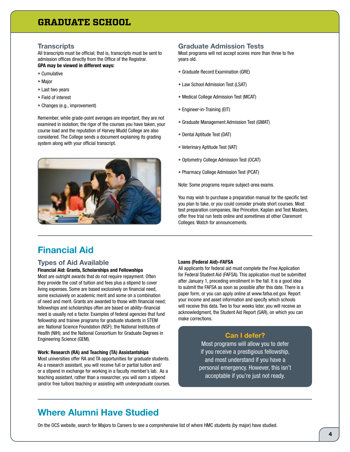### **GRADUATE SCHOOL**

#### **Transcripts**

All transcripts must be official; that is, transcripts must be sent to admission offices directly from the Office of the Registrar. GPA may be viewed in different ways:

- Cumulative
- Major
- Last two years
- Field of interest
- Changes (e.g., improvement)

Remember, while grade-point averages are important, they are not examined in isolation; the rigor of the courses you have taken, your course load and the reputation of Harvey Mudd College are also considered. The College sends a document explaining its grading system along with your official transcript.



#### Graduate Admission Tests

Most programs will not accept scores more than three to five years old.

- Graduate Record Examination (GRE)
- Law School Admission Test (LSAT)
- Medical College Admission Test (MCAT)
- Engineer-in-Training (EIT)
- Graduate Management Admission Test (GMAT)
- Dental Aptitude Test (DAT)
- Veterinary Aptitude Test (VAT)
- Optometry College Admission Test (OCAT)
- Pharmacy College Admission Test (PCAT)

Note: Some programs require subject-area exams.

You may wish to purchase a preparation manual for the specific test you plan to take, or you could consider private short courses. Most test preparation companies, like Princeton, Kaplan and Test Masters, offer free trial run tests online and sometimes at other Claremont Colleges. Watch for announcements.

### Financial Aid

#### Types of Aid Available

### Financial Aid: Grants, Scholarships and Fellowships

Most are outright awards that do not require repayment. Often they provide the cost of tuition and fees plus a stipend to cover living expenses. Some are based exclusively on financial need, some exclusively on academic merit and some on a combination of need and merit. Grants are awarded to those with financial need; fellowships and scholarships often are based on ability–financial need is usually not a factor. Examples of federal agencies that fund fellowship and trainee programs for graduate students in STEM are: National Science Foundation (NSF); the National Institutes of Health (NIH); and the National Consortium for Graduate Degrees in Engineering Science (GEM).

#### Work: Research (RA) and Teaching (TA) Assistantships

Most universities offer RA and TA opportunities for graduate students. As a research assistant, you will receive full or partial tuition and/ or a stipend in exchange for working in a faculty member's lab. As a teaching assistant, rather than a researcher, you will earn a stipend (and/or free tuition) teaching or assisting with undergraduate courses.

#### Loans (Federal Aid)–FAFSA

All applicants for federal aid must complete the Free Application for Federal Student Aid (FAFSA). This application must be submitted after January 1, preceding enrollment in the fall. It is a good idea to submit the FAFSA as soon as possible after this date. There is a paper form, or you can apply online at www.fafsa.ed.gov. Report your income and asset information and specify which schools will receive this data. Two to four weeks later, you will receive an acknowledgment, the Student Aid Report (SAR), on which you can make corrections.

#### Can I defer?

Most programs will allow you to defer if you receive a prestigious fellowship, and most understand if you have a personal emergency. However, this isn't acceptable if you're just not ready.

## Where Alumni Have Studied

On the OCS website, search for Majors to Careers to see a comprehensive list of where HMC students (by major) have studied.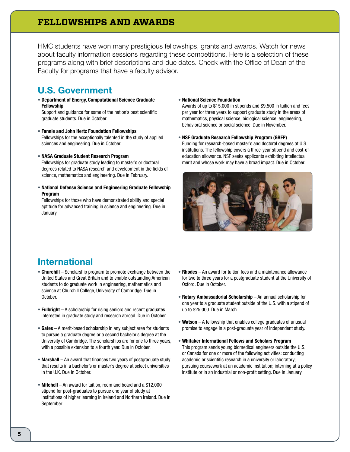### **FELLOWSHIPS AND AWARDS**

HMC students have won many prestigious fellowships, grants and awards. Watch for news about faculty information sessions regarding these competitions. Here is a selection of these programs along with brief descriptions and due dates. Check with the Office of Dean of the Faculty for programs that have a faculty advisor.

### U.S. Government

• Department of Energy, Computational Science Graduate Fellowship

Support and guidance for some of the nation's best scientific graduate students. Due in October.

- Fannie and John Hertz Foundation Fellowships Fellowships for the exceptionally talented in the study of applied sciences and engineering. Due in October.
- NASA Graduate Student Research Program

Fellowships for graduate study leading to master's or doctoral degrees related to NASA research and development in the fields of science, mathematics and engineering. Due in February.

• National Defense Science and Engineering Graduate Fellowship Program

Fellowships for those who have demonstrated ability and special aptitude for advanced training in science and engineering. Due in January.

• National Science Foundation

Awards of up to \$15,000 in stipends and \$9,500 in tuition and fees per year for three years to support graduate study in the areas of mathematics, physical science, biological science, engineering, behavioral science or social science. Due in November.

• NSF Graduate Research Fellowship Program (GRFP) Funding for research-based master's and doctoral degrees at U.S. institutions. The fellowship covers a three-year stipend and cost-ofeducation allowance. NSF seeks applicants exhibiting intellectual merit and whose work may have a broad impact. Due in October.



## International

- Churchill Scholarship program to promote exchange between the United States and Great Britain and to enable outstanding American students to do graduate work in engineering, mathematics and science at Churchill College, University of Cambridge. Due in October.
- **Fulbright** A scholarship for rising seniors and recent graduates interested in graduate study and research abroad. Due in October.
- Gates A merit-based scholarship in any subject area for students to pursue a graduate degree or a second bachelor's degree at the University of Cambridge. The scholarships are for one to three years, with a possible extension to a fourth year. Due in October.
- Marshall An award that finances two years of postgraduate study that results in a bachelor's or master's degree at select universities in the U.K. Due in October.
- Mitchell An award for tuition, room and board and a \$12,000 stipend for post-graduates to pursue one year of study at institutions of higher learning in Ireland and Northern Ireland. Due in September.
- Rhodes An award for tuition fees and a maintenance allowance for two to three years for a postgraduate student at the University of Oxford. Due in October.
- Rotary Ambassadorial Scholarship An annual scholarship for one year to a graduate student outside of the U.S. with a stipend of up to \$25,000. Due in March.
- Watson A fellowship that enables college graduates of unusual promise to engage in a post-graduate year of independent study.
- Whitaker International Fellows and Scholars Program This program sends young biomedical engineers outside the U.S. or Canada for one or more of the following activities: conducting academic or scientific research in a university or laboratory; pursuing coursework at an academic institution; interning at a policy institute or in an industrial or non-profit setting. Due in January.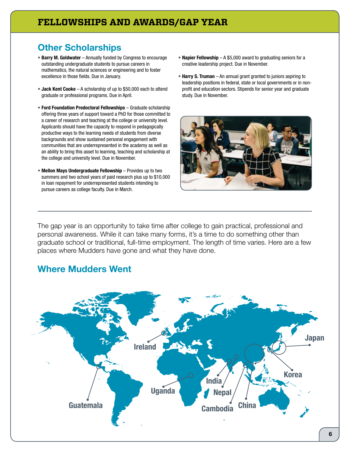## **Other Scholarships**

- Barry M. Goldwater Annually funded by Congress to encourage outstanding undergraduate students to pursue careers in mathematics, the natural sciences or engineering and to foster excellence in those fields. Due in January.
- Jack Kent Cooke A scholarship of up to \$50,000 each to attend graduate or professional programs. Due in April.
- Ford Foundation Predoctoral Fellowships Graduate scholarship offering three years of support toward a PhD for those committed to a career of research and teaching at the college or university level. Applicants should have the capacity to respond in pedagogically productive ways to the learning needs of students from diverse backgrounds and show sustained personal engagement with communities that are underrepresented in the academy as well as an ability to bring this asset to learning, teaching and scholarship at the college and university level. Due in November.
- Mellon Mays Undergraduate Fellowship Provides up to two summers and two school years of paid research plus up to \$10,000 in loan repayment for underrepresented students intending to pursue careers as college faculty. Due in March.
- Napier Fellowship  $A $5,000$  award to graduating seniors for a creative leadership project. Due in November.
- Harry S. Truman An annual grant granted to juniors aspiring to leadership positions in federal, state or local governments or in nonprofit and education sectors. Stipends for senior year and graduate study. Due in November.



The gap year is an opportunity to take time after college to gain practical, professional and personal awareness. While it can take many forms, it's a time to do something other than graduate school or traditional, full-time employment. The length of time varies. Here are a few places where Mudders have gone and what they have done.

## Where Mudders Went